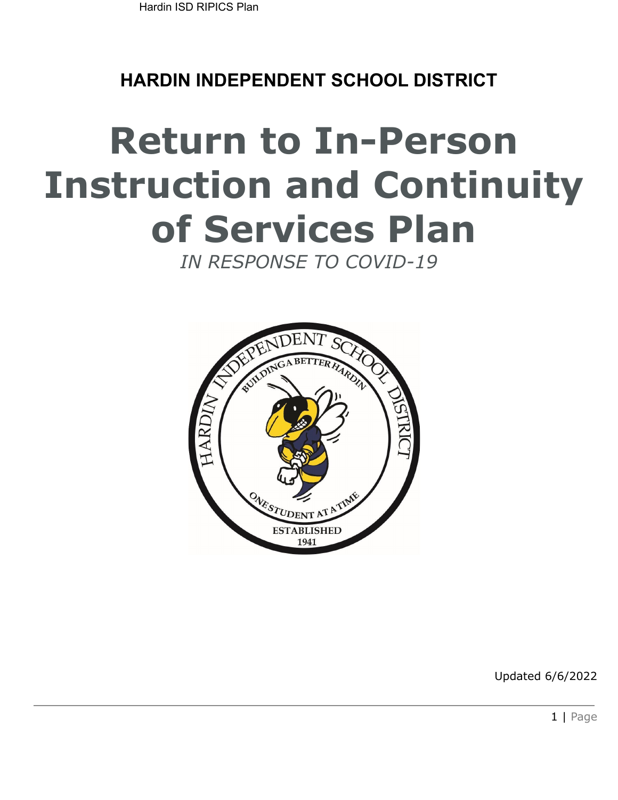**HARDIN INDEPENDENT SCHOOL DISTRICT**

# **Return to In-Person Instruction and Continuity of Services Plan**

*IN RESPONSE TO COVID-19*

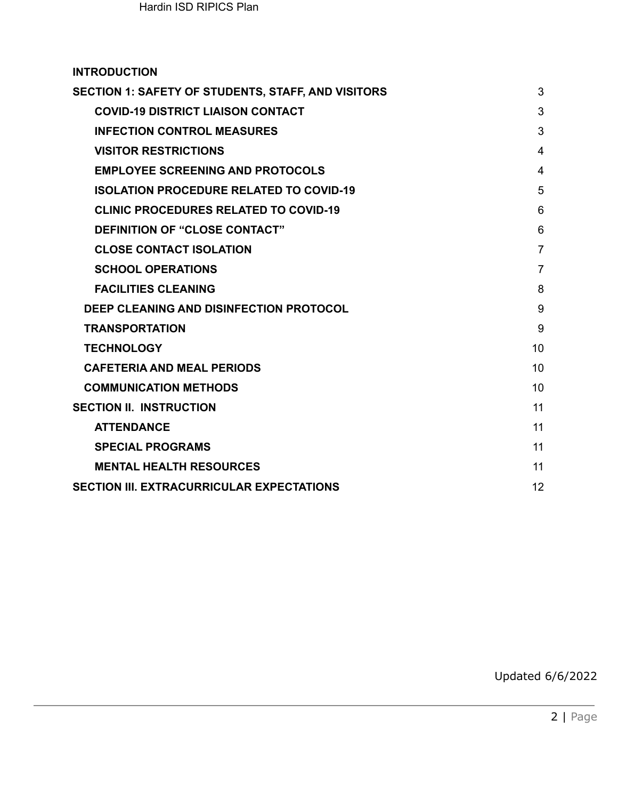| <b>INTRODUCTION</b>                                       |                |  |  |  |
|-----------------------------------------------------------|----------------|--|--|--|
| <b>SECTION 1: SAFETY OF STUDENTS, STAFF, AND VISITORS</b> | 3              |  |  |  |
| <b>COVID-19 DISTRICT LIAISON CONTACT</b>                  | 3              |  |  |  |
| <b>INFECTION CONTROL MEASURES</b>                         | 3              |  |  |  |
| <b>VISITOR RESTRICTIONS</b>                               | 4              |  |  |  |
| <b>EMPLOYEE SCREENING AND PROTOCOLS</b>                   | $\overline{4}$ |  |  |  |
| <b>ISOLATION PROCEDURE RELATED TO COVID-19</b>            | 5              |  |  |  |
| <b>CLINIC PROCEDURES RELATED TO COVID-19</b>              | 6              |  |  |  |
| <b>DEFINITION OF "CLOSE CONTACT"</b>                      | 6              |  |  |  |
| <b>CLOSE CONTACT ISOLATION</b>                            | $\overline{7}$ |  |  |  |
| <b>SCHOOL OPERATIONS</b>                                  | $\overline{7}$ |  |  |  |
| <b>FACILITIES CLEANING</b>                                | 8              |  |  |  |
| <b>DEEP CLEANING AND DISINFECTION PROTOCOL</b>            | 9              |  |  |  |
| <b>TRANSPORTATION</b>                                     | 9              |  |  |  |
| <b>TECHNOLOGY</b>                                         | 10             |  |  |  |
| <b>CAFETERIA AND MEAL PERIODS</b>                         |                |  |  |  |
| <b>COMMUNICATION METHODS</b>                              | 10             |  |  |  |
| <b>SECTION II. INSTRUCTION</b>                            | 11             |  |  |  |
| <b>ATTENDANCE</b>                                         | 11             |  |  |  |
| <b>SPECIAL PROGRAMS</b>                                   | 11             |  |  |  |
| <b>MENTAL HEALTH RESOURCES</b>                            | 11             |  |  |  |
| <b>SECTION III. EXTRACURRICULAR EXPECTATIONS</b>          | 12             |  |  |  |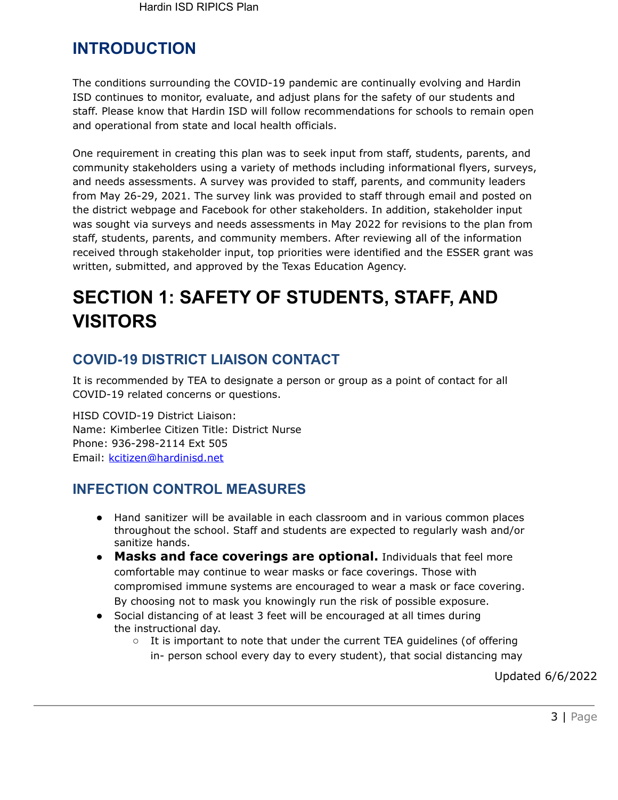## **INTRODUCTION**

The conditions surrounding the COVID-19 pandemic are continually evolving and Hardin ISD continues to monitor, evaluate, and adjust plans for the safety of our students and staff. Please know that Hardin ISD will follow recommendations for schools to remain open and operational from state and local health officials.

One requirement in creating this plan was to seek input from staff, students, parents, and community stakeholders using a variety of methods including informational flyers, surveys, and needs assessments. A survey was provided to staff, parents, and community leaders from May 26-29, 2021. The survey link was provided to staff through email and posted on the district webpage and Facebook for other stakeholders. In addition, stakeholder input was sought via surveys and needs assessments in May 2022 for revisions to the plan from staff, students, parents, and community members. After reviewing all of the information received through stakeholder input, top priorities were identified and the ESSER grant was written, submitted, and approved by the Texas Education Agency.

# **SECTION 1: SAFETY OF STUDENTS, STAFF, AND VISITORS**

#### **COVID-19 DISTRICT LIAISON CONTACT**

It is recommended by TEA to designate a person or group as a point of contact for all COVID-19 related concerns or questions.

HISD COVID-19 District Liaison: Name: Kimberlee Citizen Title: District Nurse Phone: 936-298-2114 Ext 505 Email: [kcitizen@hardinisd.net](mailto:kcitizen@hardinisd.net)

#### **INFECTION CONTROL MEASURES**

- Hand sanitizer will be available in each classroom and in various common places throughout the school. Staff and students are expected to regularly wash and/or sanitize hands.
- **Masks and face coverings are optional.** Individuals that feel more comfortable may continue to wear masks or face coverings. Those with compromised immune systems are encouraged to wear a mask or face covering. By choosing not to mask you knowingly run the risk of possible exposure.
- Social distancing of at least 3 feet will be encouraged at all times during the instructional day.
	- $\circ$  It is important to note that under the current TEA guidelines (of offering in- person school every day to every student), that social distancing may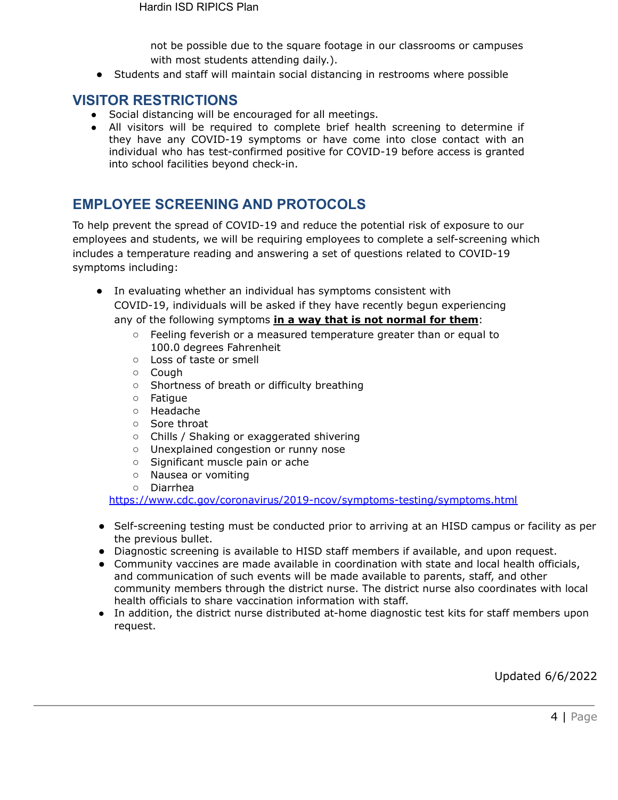not be possible due to the square footage in our classrooms or campuses with most students attending daily.).

● Students and staff will maintain social distancing in restrooms where possible

#### **VISITOR RESTRICTIONS**

- Social distancing will be encouraged for all meetings.
- All visitors will be required to complete brief health screening to determine if they have any COVID-19 symptoms or have come into close contact with an individual who has test-confirmed positive for COVID-19 before access is granted into school facilities beyond check-in.

#### **EMPLOYEE SCREENING AND PROTOCOLS**

To help prevent the spread of COVID-19 and reduce the potential risk of exposure to our employees and students, we will be requiring employees to complete a self-screening which includes a temperature reading and answering a set of questions related to COVID-19 symptoms including:

- In evaluating whether an individual has symptoms consistent with COVID-19, individuals will be asked if they have recently begun experiencing any of the following symptoms **in a way that is not normal for them**:
	- Feeling feverish or a measured temperature greater than or equal to 100.0 degrees Fahrenheit
	- Loss of taste or smell
	- Cough
	- Shortness of breath or difficulty breathing
	- Fatigue
	- Headache
	- Sore throat
	- Chills / Shaking or exaggerated shivering
	- Unexplained congestion or runny nose
	- Significant muscle pain or ache
	- Nausea or vomiting
	- Diarrhea

<https://www.cdc.gov/coronavirus/2019-ncov/symptoms-testing/symptoms.html>

- Self-screening testing must be conducted prior to arriving at an HISD campus or facility as per the previous bullet.
- Diagnostic screening is available to HISD staff members if available, and upon request.
- Community vaccines are made available in coordination with state and local health officials, and communication of such events will be made available to parents, staff, and other community members through the district nurse. The district nurse also coordinates with local health officials to share vaccination information with staff.
- In addition, the district nurse distributed at-home diagnostic test kits for staff members upon request.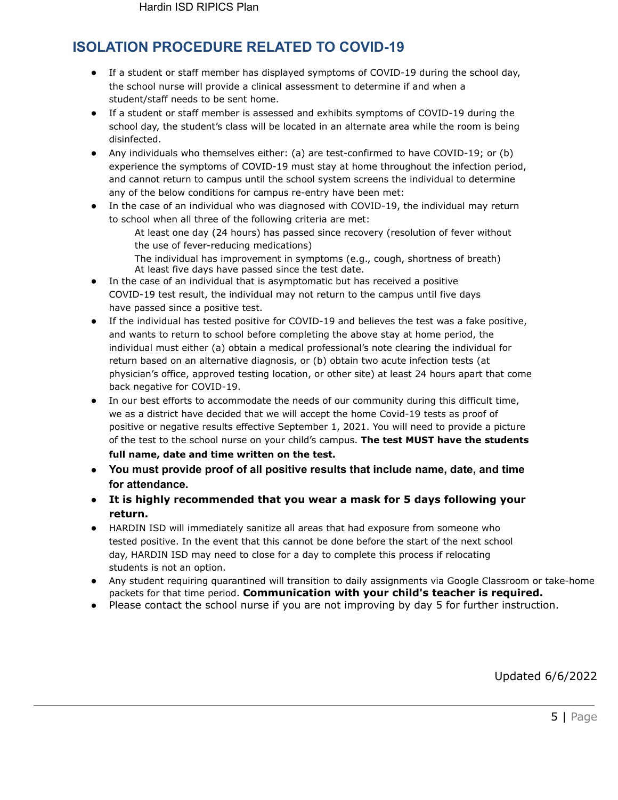Hardin ISD RIPICS Plan

#### **ISOLATION PROCEDURE RELATED TO COVID-19**

- If a student or staff member has displayed symptoms of COVID-19 during the school day, the school nurse will provide a clinical assessment to determine if and when a student/staff needs to be sent home.
- If a student or staff member is assessed and exhibits symptoms of COVID-19 during the school day, the student's class will be located in an alternate area while the room is being disinfected.
- Any individuals who themselves either: (a) are test-confirmed to have COVID-19; or (b) experience the symptoms of COVID-19 must stay at home throughout the infection period, and cannot return to campus until the school system screens the individual to determine any of the below conditions for campus re-entry have been met:
- In the case of an individual who was diagnosed with COVID-19, the individual may return to school when all three of the following criteria are met:
	- At least one day (24 hours) has passed since recovery (resolution of fever without the use of fever-reducing medications)
	- The individual has improvement in symptoms (e.g., cough, shortness of breath) At least five days have passed since the test date.
- In the case of an individual that is asymptomatic but has received a positive COVID-19 test result, the individual may not return to the campus until five days have passed since a positive test.
- If the individual has tested positive for COVID-19 and believes the test was a fake positive, and wants to return to school before completing the above stay at home period, the individual must either (a) obtain a medical professional's note clearing the individual for return based on an alternative diagnosis, or (b) obtain two acute infection tests (at physician's office, approved testing location, or other site) at least 24 hours apart that come back negative for COVID-19.
- In our best efforts to accommodate the needs of our community during this difficult time, we as a district have decided that we will accept the home Covid-19 tests as proof of positive or negative results effective September 1, 2021. You will need to provide a picture of the test to the school nurse on your child's campus. **The test MUST have the students full name, date and time written on the test.**
- **You must provide proof of all positive results that include name, date, and time for attendance.**
- **It is highly recommended that you wear a mask for 5 days following your return.**
- HARDIN ISD will immediately sanitize all areas that had exposure from someone who tested positive. In the event that this cannot be done before the start of the next school day, HARDIN ISD may need to close for a day to complete this process if relocating students is not an option.
- Any student requiring quarantined will transition to daily assignments via Google Classroom or take-home packets for that time period. **Communication with your child's teacher is required.**
- Please contact the school nurse if you are not improving by day 5 for further instruction.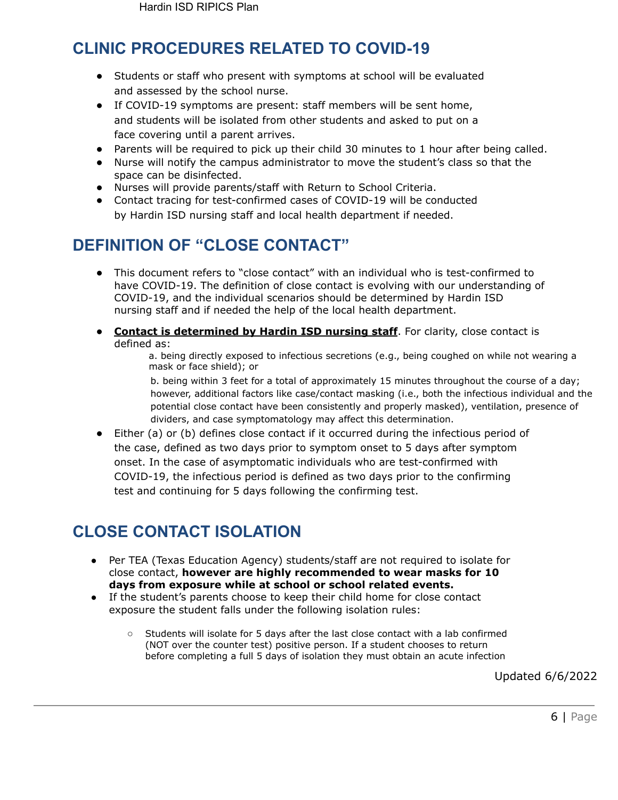## **CLINIC PROCEDURES RELATED TO COVID-19**

- Students or staff who present with symptoms at school will be evaluated and assessed by the school nurse.
- If COVID-19 symptoms are present: staff members will be sent home, and students will be isolated from other students and asked to put on a face covering until a parent arrives.
- Parents will be required to pick up their child 30 minutes to 1 hour after being called.
- Nurse will notify the campus administrator to move the student's class so that the space can be disinfected.
- Nurses will provide parents/staff with Return to School Criteria.
- Contact tracing for test-confirmed cases of COVID-19 will be conducted by Hardin ISD nursing staff and local health department if needed.

## **DEFINITION OF "CLOSE CONTACT"**

- This document refers to "close contact" with an individual who is test-confirmed to have COVID-19. The definition of close contact is evolving with our understanding of COVID-19, and the individual scenarios should be determined by Hardin ISD nursing staff and if needed the help of the local health department.
- **Contact is determined by Hardin ISD nursing staff**. For clarity, close contact is defined as:

a. being directly exposed to infectious secretions (e.g., being coughed on while not wearing a mask or face shield); or

b. being within 3 feet for a total of approximately 15 minutes throughout the course of a day; however, additional factors like case/contact masking (i.e., both the infectious individual and the potential close contact have been consistently and properly masked), ventilation, presence of dividers, and case symptomatology may affect this determination.

● Either (a) or (b) defines close contact if it occurred during the infectious period of the case, defined as two days prior to symptom onset to 5 days after symptom onset. In the case of asymptomatic individuals who are test-confirmed with COVID-19, the infectious period is defined as two days prior to the confirming test and continuing for 5 days following the confirming test.

## **CLOSE CONTACT ISOLATION**

- Per TEA (Texas Education Agency) students/staff are not required to isolate for close contact, **however are highly recommended to wear masks for 10 days from exposure while at school or school related events.**
- If the student's parents choose to keep their child home for close contact exposure the student falls under the following isolation rules:
	- Students will isolate for 5 days after the last close contact with a lab confirmed (NOT over the counter test) positive person. If a student chooses to return before completing a full 5 days of isolation they must obtain an acute infection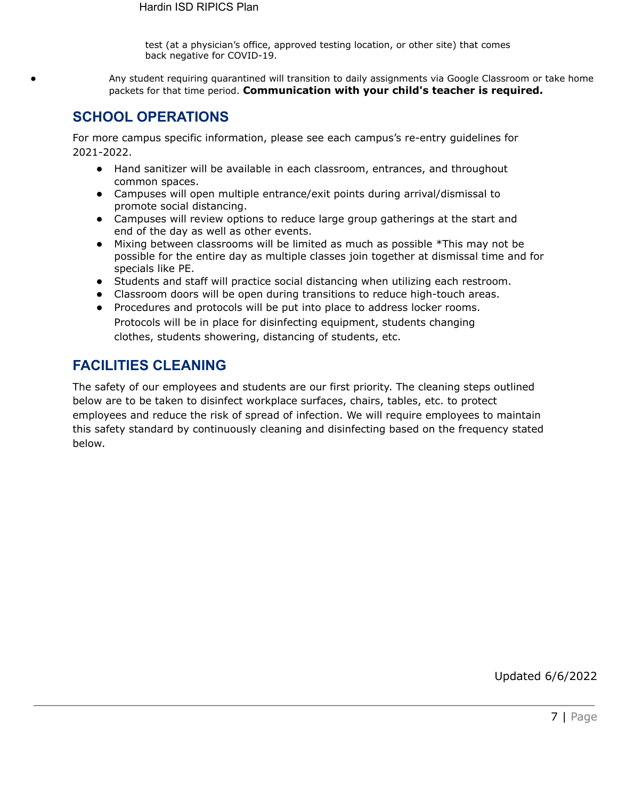test (at a physician's office, approved testing location, or other site) that comes back negative for COVID-19.

Any student requiring quarantined will transition to daily assignments via Google Classroom or take home packets for that time period. **Communication with your child's teacher is required.**

#### **SCHOOL OPERATIONS**

For more campus specific information, please see each campus's re-entry guidelines for 2021-2022.

- Hand sanitizer will be available in each classroom, entrances, and throughout common spaces.
- Campuses will open multiple entrance/exit points during arrival/dismissal to promote social distancing.
- Campuses will review options to reduce large group gatherings at the start and end of the day as well as other events.
- Mixing between classrooms will be limited as much as possible \*This may not be possible for the entire day as multiple classes join together at dismissal time and for specials like PE.
- Students and staff will practice social distancing when utilizing each restroom.
- Classroom doors will be open during transitions to reduce high-touch areas.
- Procedures and protocols will be put into place to address locker rooms. Protocols will be in place for disinfecting equipment, students changing clothes, students showering, distancing of students, etc.

#### **FACILITIES CLEANING**

The safety of our employees and students are our first priority. The cleaning steps outlined below are to be taken to disinfect workplace surfaces, chairs, tables, etc. to protect employees and reduce the risk of spread of infection. We will require employees to maintain this safety standard by continuously cleaning and disinfecting based on the frequency stated below.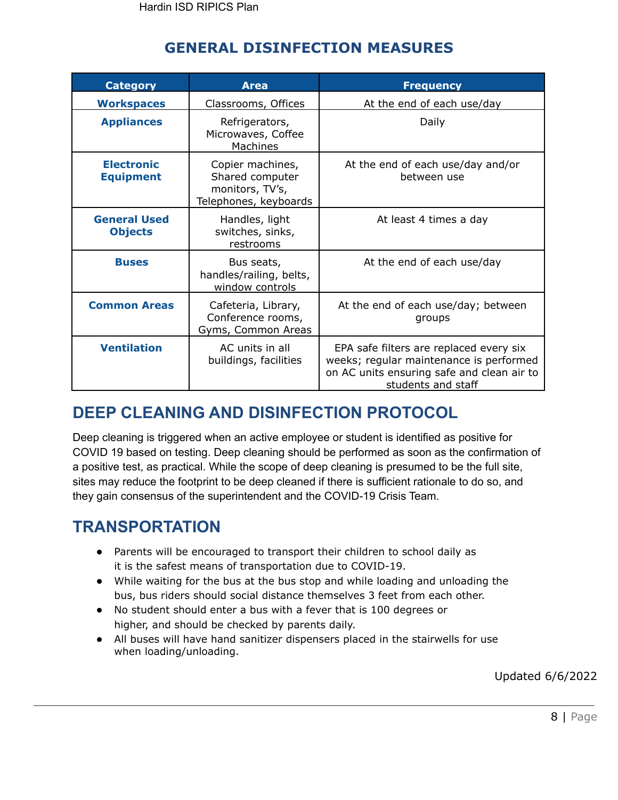| <b>Category</b>                       | <b>Area</b>                                                                     | <b>Frequency</b>                                                                                                                                       |  |
|---------------------------------------|---------------------------------------------------------------------------------|--------------------------------------------------------------------------------------------------------------------------------------------------------|--|
| <b>Workspaces</b>                     | Classrooms, Offices                                                             | At the end of each use/day                                                                                                                             |  |
| <b>Appliances</b>                     | Refrigerators,<br>Microwaves, Coffee<br>Machines                                | Daily                                                                                                                                                  |  |
| <b>Electronic</b><br><b>Equipment</b> | Copier machines,<br>Shared computer<br>monitors, TV's,<br>Telephones, keyboards | At the end of each use/day and/or<br>between use                                                                                                       |  |
| <b>General Used</b><br><b>Objects</b> | Handles, light<br>switches, sinks,<br>restrooms                                 | At least 4 times a day                                                                                                                                 |  |
| <b>Buses</b>                          | Bus seats,<br>handles/railing, belts,<br>window controls                        | At the end of each use/day                                                                                                                             |  |
| <b>Common Areas</b>                   | Cafeteria, Library,<br>Conference rooms,<br>Gyms, Common Areas                  | At the end of each use/day; between<br>groups                                                                                                          |  |
| <b>Ventilation</b>                    | AC units in all<br>buildings, facilities                                        | EPA safe filters are replaced every six<br>weeks; regular maintenance is performed<br>on AC units ensuring safe and clean air to<br>students and staff |  |

## **GENERAL DISINFECTION MEASURES**

## **DEEP CLEANING AND DISINFECTION PROTOCOL**

Deep cleaning is triggered when an active employee or student is identified as positive for COVID 19 based on testing. Deep cleaning should be performed as soon as the confirmation of a positive test, as practical. While the scope of deep cleaning is presumed to be the full site, sites may reduce the footprint to be deep cleaned if there is sufficient rationale to do so, and they gain consensus of the superintendent and the COVID-19 Crisis Team.

## **TRANSPORTATION**

- Parents will be encouraged to transport their children to school daily as it is the safest means of transportation due to COVID-19.
- While waiting for the bus at the bus stop and while loading and unloading the bus, bus riders should social distance themselves 3 feet from each other.
- No student should enter a bus with a fever that is 100 degrees or higher, and should be checked by parents daily.
- All buses will have hand sanitizer dispensers placed in the stairwells for use when loading/unloading.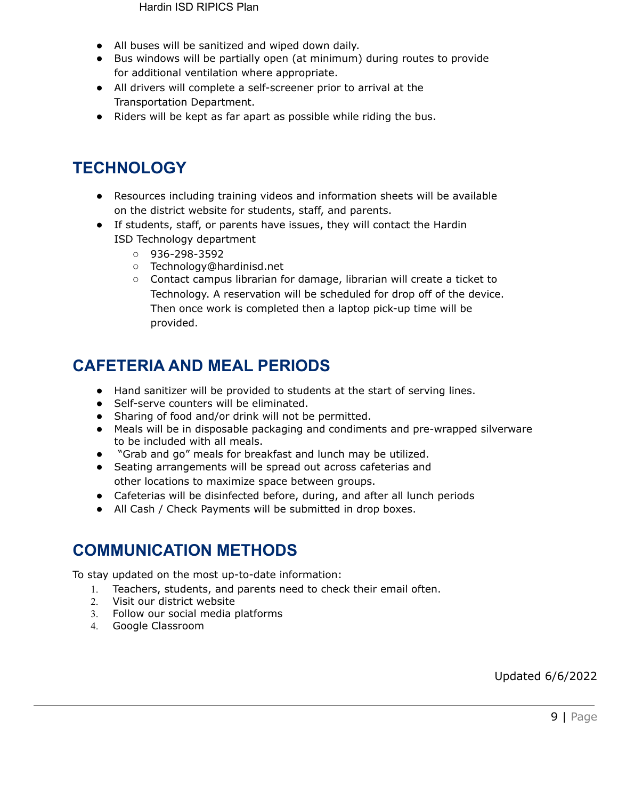Hardin ISD RIPICS Plan

- All buses will be sanitized and wiped down daily.
- Bus windows will be partially open (at minimum) during routes to provide for additional ventilation where appropriate.
- All drivers will complete a self-screener prior to arrival at the Transportation Department.
- Riders will be kept as far apart as possible while riding the bus.

## **TECHNOLOGY**

- Resources including training videos and information sheets will be available on the district website for students, staff, and parents.
- If students, staff, or parents have issues, they will contact the Hardin ISD Technology department
	- $0.936 298 3592$
	- [Technology@hardinisd.net](mailto:Technology@hardinisd.net)
	- Contact campus librarian for damage, librarian will create a ticket to Technology. A reservation will be scheduled for drop off of the device. Then once work is completed then a laptop pick-up time will be provided.

## **CAFETERIA AND MEAL PERIODS**

- Hand sanitizer will be provided to students at the start of serving lines.
- Self-serve counters will be eliminated.
- Sharing of food and/or drink will not be permitted.
- Meals will be in disposable packaging and condiments and pre-wrapped silverware to be included with all meals.
- "Grab and go" meals for breakfast and lunch may be utilized.
- Seating arrangements will be spread out across cafeterias and other locations to maximize space between groups.
- Cafeterias will be disinfected before, during, and after all lunch periods
- All Cash / Check Payments will be submitted in drop boxes.

## **COMMUNICATION METHODS**

To stay updated on the most up-to-date information:

- 1. Teachers, students, and parents need to check their email often.
- 2. Visit our district website
- 3. Follow our social media platforms
- 4. Google Classroom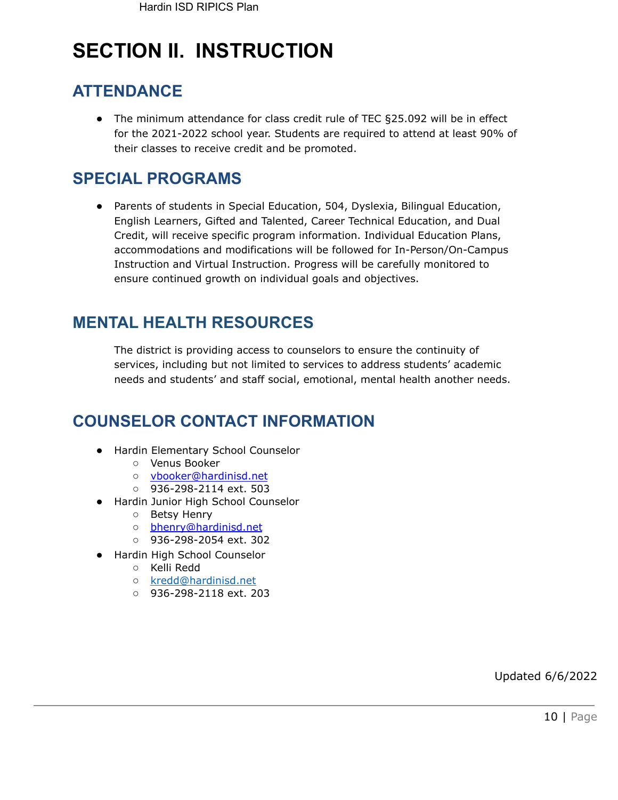# **SECTION II. INSTRUCTION**

## **ATTENDANCE**

● The minimum attendance for class credit rule of TEC §25.092 will be in effect for the 2021-2022 school year. Students are required to attend at least 90% of their classes to receive credit and be promoted.

## **SPECIAL PROGRAMS**

● Parents of students in Special Education, 504, Dyslexia, Bilingual Education, English Learners, Gifted and Talented, Career Technical Education, and Dual Credit, will receive specific program information. Individual Education Plans, accommodations and modifications will be followed for In-Person/On-Campus Instruction and Virtual Instruction. Progress will be carefully monitored to ensure continued growth on individual goals and objectives.

## **MENTAL HEALTH RESOURCES**

The district is providing access to counselors to ensure the continuity of services, including but not limited to services to address students' academic needs and students' and staff social, emotional, mental health another needs.

## **COUNSELOR CONTACT INFORMATION**

- Hardin Elementary School Counselor
	- Venus Booker
	- [vbooker@hardinisd.net](mailto:vbooker@hardinisd.net)
	- 936-298-2114 ext. 503
- Hardin Junior High School Counselor
	- Betsy Henry
	- [bhenry@hardinisd.net](mailto:bhenry@hardinisd.net)
	- 936-298-2054 ext. 302
- Hardin High School Counselor
	- Kelli Redd
	- [kredd@hardinisd.net](mailto:kredd@hardinisd.net)
	- 936-298-2118 ext. 203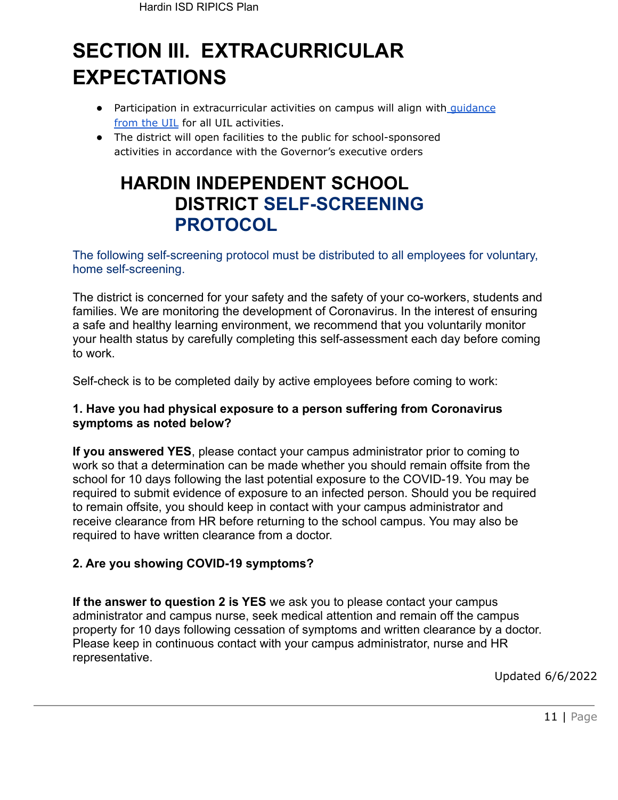# **SECTION III. EXTRACURRICULAR EXPECTATIONS**

- Participation in extracurricular activities on campus will align with *quidance* [from](https://www.uiltexas.org/covid-19-information) the UIL for all UIL activities.
- The district will open facilities to the public for school-sponsored activities in accordance with the Governor's executive orders

## **HARDIN INDEPENDENT SCHOOL DISTRICT SELF-SCREENING PROTOCOL**

The following self-screening protocol must be distributed to all employees for voluntary, home self-screening.

The district is concerned for your safety and the safety of your co-workers, students and families. We are monitoring the development of Coronavirus. In the interest of ensuring a safe and healthy learning environment, we recommend that you voluntarily monitor your health status by carefully completing this self-assessment each day before coming to work.

Self-check is to be completed daily by active employees before coming to work:

#### **1. Have you had physical exposure to a person suffering from Coronavirus symptoms as noted below?**

**If you answered YES**, please contact your campus administrator prior to coming to work so that a determination can be made whether you should remain offsite from the school for 10 days following the last potential exposure to the COVID-19. You may be required to submit evidence of exposure to an infected person. Should you be required to remain offsite, you should keep in contact with your campus administrator and receive clearance from HR before returning to the school campus. You may also be required to have written clearance from a doctor.

#### **2. Are you showing COVID-19 symptoms?**

**If the answer to question 2 is YES** we ask you to please contact your campus administrator and campus nurse, seek medical attention and remain off the campus property for 10 days following cessation of symptoms and written clearance by a doctor. Please keep in continuous contact with your campus administrator, nurse and HR representative.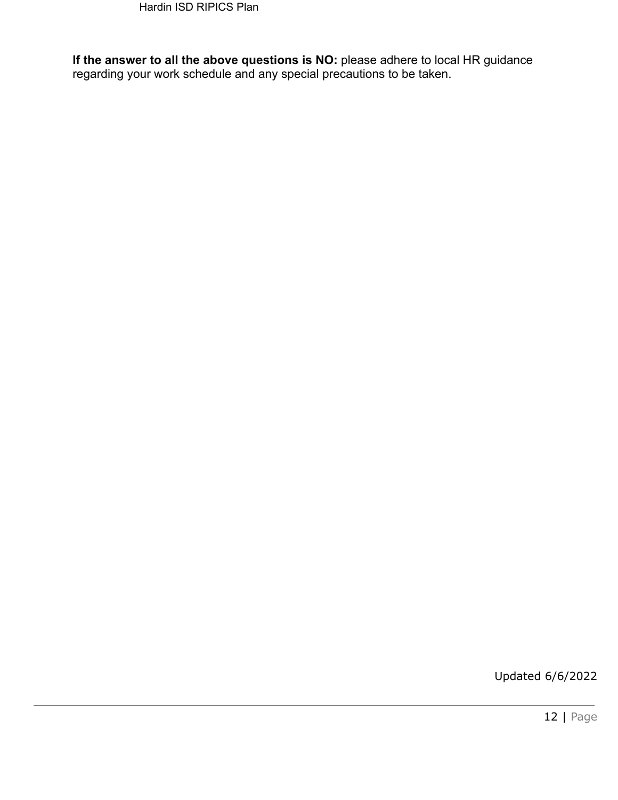**If the answer to all the above questions is NO:** please adhere to local HR guidance regarding your work schedule and any special precautions to be taken.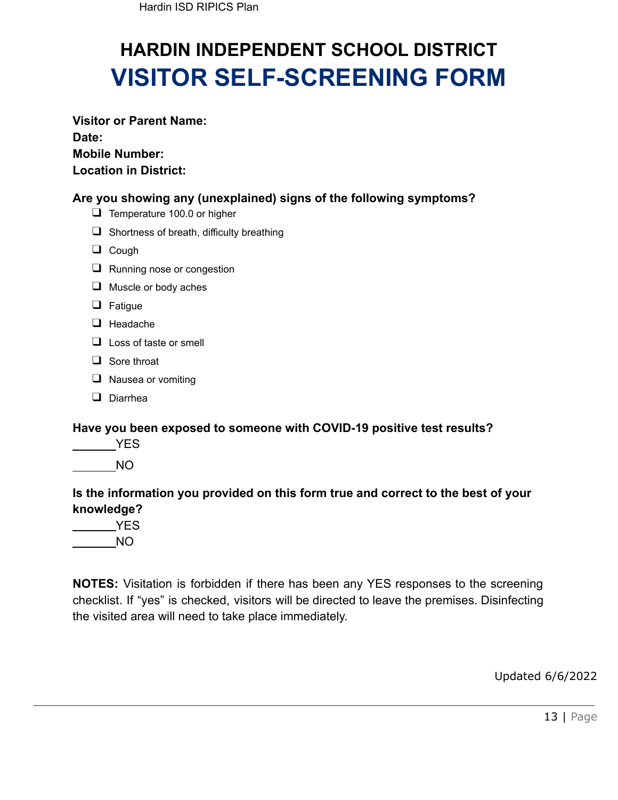# **HARDIN INDEPENDENT SCHOOL DISTRICT VISITOR SELF-SCREENING FORM**

#### **Visitor or Parent Name:**

**Date: Mobile Number: Location in District:**

#### **Are you showing any (unexplained) signs of the following symptoms?**

- ❑ Temperature 100.0 or higher
- ❑ Shortness of breath, difficulty breathing
- ❑ Cough
- ❑ Running nose or congestion
- ❑ Muscle or body aches
- ❑ Fatigue
- ❑ Headache
- ❑ Loss of taste or smell
- ❑ Sore throat
- ❑ Nausea or vomiting
- ❑ Diarrhea

#### **Have you been exposed to someone with COVID-19 positive test results?**

**Example 19 YES** 

NO

#### **Is the information you provided on this form true and correct to the best of your knowledge?**

| YES |  |
|-----|--|
| NO. |  |

**NOTES:** Visitation is forbidden if there has been any YES responses to the screening checklist. If "yes" is checked, visitors will be directed to leave the premises. Disinfecting the visited area will need to take place immediately.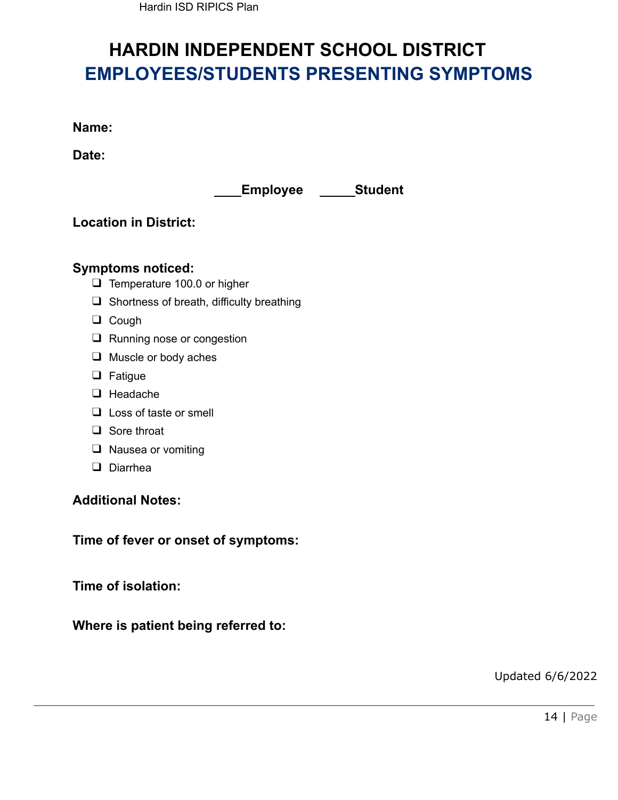Hardin ISD RIPICS Plan

# **HARDIN INDEPENDENT SCHOOL DISTRICT EMPLOYEES/STUDENTS PRESENTING SYMPTOMS**

**Name:**

**Date:**

**Employee Student**

#### **Location in District:**

#### **Symptoms noticed:**

- ❑ Temperature 100.0 or higher
- ❑ Shortness of breath, difficulty breathing
- ❑ Cough
- ❑ Running nose or congestion
- ❑ Muscle or body aches
- ❑ Fatigue
- ❑ Headache
- ❑ Loss of taste or smell
- ❑ Sore throat
- ❑ Nausea or vomiting
- ❑ Diarrhea

**Additional Notes:**

**Time of fever or onset of symptoms:**

**Time of isolation:**

**Where is patient being referred to:**